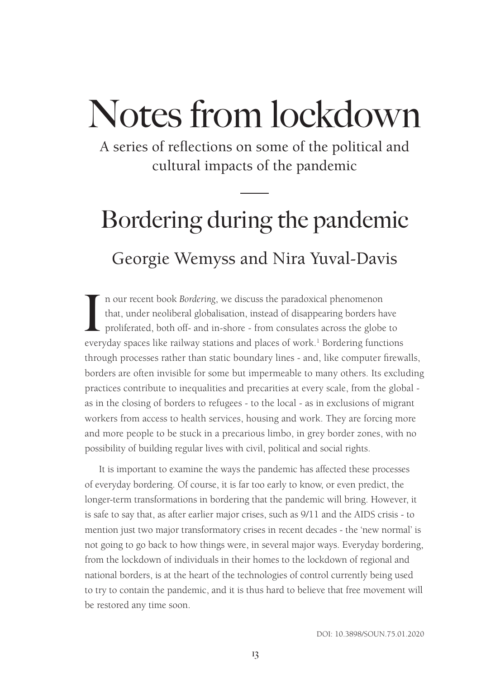A series of reflections on some of the political and cultural impacts of the pandemic

# Bordering during the pandemic Georgie Wemyss and Nira Yuval-Davis

In our recent book *Bordering*, we discuss the paradoxical phenomenon that, under neoliberal globalisation, instead of disappearing borders have proliferated, both off- and in-shore - from consulates across the globe to ev n our recent book *Bordering*, we discuss the paradoxical phenomenon that, under neoliberal globalisation, instead of disappearing borders have proliferated, both off- and in-shore - from consulates across the globe to through processes rather than static boundary lines - and, like computer firewalls, borders are often invisible for some but impermeable to many others. Its excluding practices contribute to inequalities and precarities at every scale, from the global as in the closing of borders to refugees - to the local - as in exclusions of migrant workers from access to health services, housing and work. They are forcing more and more people to be stuck in a precarious limbo, in grey border zones, with no possibility of building regular lives with civil, political and social rights.

It is important to examine the ways the pandemic has affected these processes of everyday bordering. Of course, it is far too early to know, or even predict, the longer-term transformations in bordering that the pandemic will bring. However, it is safe to say that, as after earlier major crises, such as 9/11 and the AIDS crisis - to mention just two major transformatory crises in recent decades - the 'new normal' is not going to go back to how things were, in several major ways. Everyday bordering, from the lockdown of individuals in their homes to the lockdown of regional and national borders, is at the heart of the technologies of control currently being used to try to contain the pandemic, and it is thus hard to believe that free movement will be restored any time soon.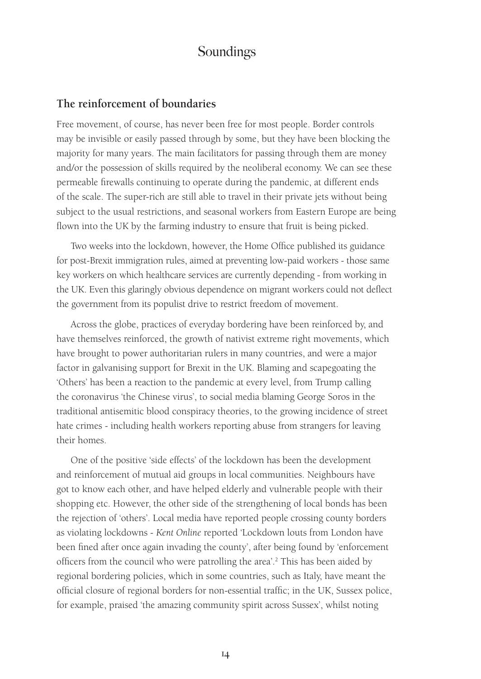#### **The reinforcement of boundaries**

Free movement, of course, has never been free for most people. Border controls may be invisible or easily passed through by some, but they have been blocking the majority for many years. The main facilitators for passing through them are money and/or the possession of skills required by the neoliberal economy. We can see these permeable firewalls continuing to operate during the pandemic, at different ends of the scale. The super-rich are still able to travel in their private jets without being subject to the usual restrictions, and seasonal workers from Eastern Europe are being flown into the UK by the farming industry to ensure that fruit is being picked.

Two weeks into the lockdown, however, the Home Office published its guidance for post-Brexit immigration rules, aimed at preventing low-paid workers - those same key workers on which healthcare services are currently depending - from working in the UK. Even this glaringly obvious dependence on migrant workers could not deflect the government from its populist drive to restrict freedom of movement.

Across the globe, practices of everyday bordering have been reinforced by, and have themselves reinforced, the growth of nativist extreme right movements, which have brought to power authoritarian rulers in many countries, and were a major factor in galvanising support for Brexit in the UK. Blaming and scapegoating the 'Others' has been a reaction to the pandemic at every level, from Trump calling the coronavirus 'the Chinese virus', to social media blaming George Soros in the traditional antisemitic blood conspiracy theories, to the growing incidence of street hate crimes - including health workers reporting abuse from strangers for leaving their homes.

One of the positive 'side effects' of the lockdown has been the development and reinforcement of mutual aid groups in local communities. Neighbours have got to know each other, and have helped elderly and vulnerable people with their shopping etc. However, the other side of the strengthening of local bonds has been the rejection of 'others'. Local media have reported people crossing county borders as violating lockdowns - *Kent Online* reported 'Lockdown louts from London have been fined after once again invading the county', after being found by 'enforcement officers from the council who were patrolling the area'.<sup>2</sup> This has been aided by regional bordering policies, which in some countries, such as Italy, have meant the official closure of regional borders for non-essential traffic; in the UK, Sussex police, for example, praised 'the amazing community spirit across Sussex', whilst noting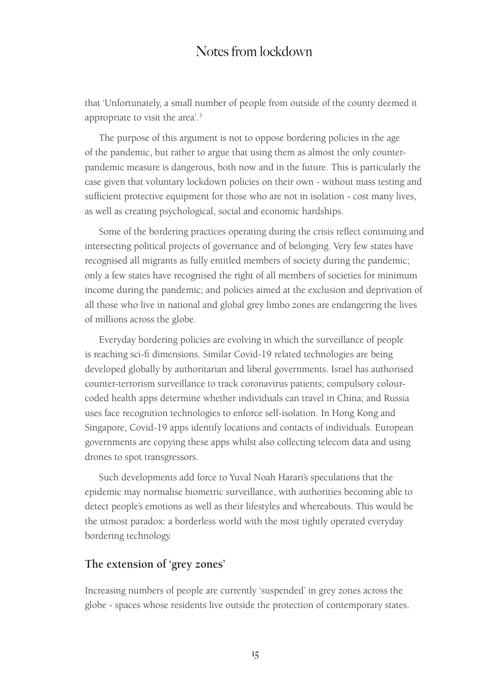that 'Unfortunately, a small number of people from outside of the county deemed it appropriate to visit the area'.3

The purpose of this argument is not to oppose bordering policies in the age of the pandemic, but rather to argue that using them as almost the only counterpandemic measure is dangerous, both now and in the future. This is particularly the case given that voluntary lockdown policies on their own - without mass testing and sufficient protective equipment for those who are not in isolation - cost many lives, as well as creating psychological, social and economic hardships.

Some of the bordering practices operating during the crisis reflect continuing and intersecting political projects of governance and of belonging. Very few states have recognised all migrants as fully entitled members of society during the pandemic; only a few states have recognised the right of all members of societies for minimum income during the pandemic; and policies aimed at the exclusion and deprivation of all those who live in national and global grey limbo zones are endangering the lives of millions across the globe.

Everyday bordering policies are evolving in which the surveillance of people is reaching sci-fi dimensions. Similar Covid-19 related technologies are being developed globally by authoritarian and liberal governments. Israel has authorised counter-terrorism surveillance to track coronavirus patients; compulsory colourcoded health apps determine whether individuals can travel in China; and Russia uses face recognition technologies to enforce self-isolation. In Hong Kong and Singapore, Covid-19 apps identify locations and contacts of individuals. European governments are copying these apps whilst also collecting telecom data and using drones to spot transgressors.

Such developments add force to Yuval Noah Harari's speculations that the epidemic may normalise biometric surveillance, with authorities becoming able to detect people's emotions as well as their lifestyles and whereabouts. This would be the utmost paradox: a borderless world with the most tightly operated everyday bordering technology.

#### **The extension of 'grey zones'**

Increasing numbers of people are currently 'suspended' in grey zones across the globe - spaces whose residents live outside the protection of contemporary states.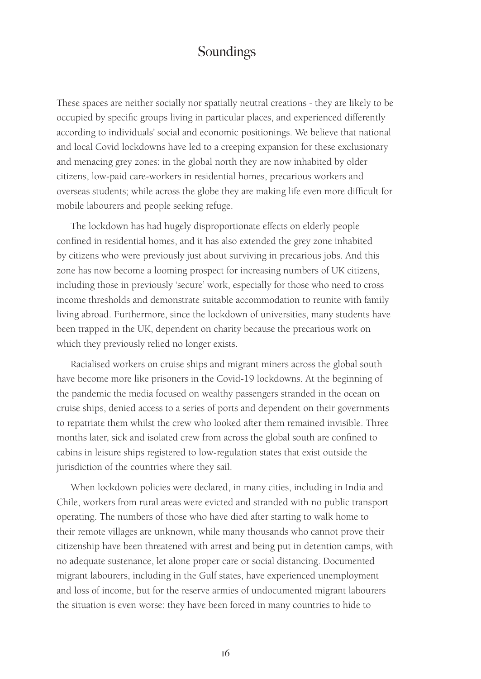These spaces are neither socially nor spatially neutral creations - they are likely to be occupied by specific groups living in particular places, and experienced differently according to individuals' social and economic positionings. We believe that national and local Covid lockdowns have led to a creeping expansion for these exclusionary and menacing grey zones: in the global north they are now inhabited by older citizens, low-paid care-workers in residential homes, precarious workers and overseas students; while across the globe they are making life even more difficult for mobile labourers and people seeking refuge.

The lockdown has had hugely disproportionate effects on elderly people confined in residential homes, and it has also extended the grey zone inhabited by citizens who were previously just about surviving in precarious jobs. And this zone has now become a looming prospect for increasing numbers of UK citizens, including those in previously 'secure' work, especially for those who need to cross income thresholds and demonstrate suitable accommodation to reunite with family living abroad. Furthermore, since the lockdown of universities, many students have been trapped in the UK, dependent on charity because the precarious work on which they previously relied no longer exists.

Racialised workers on cruise ships and migrant miners across the global south have become more like prisoners in the Covid-19 lockdowns. At the beginning of the pandemic the media focused on wealthy passengers stranded in the ocean on cruise ships, denied access to a series of ports and dependent on their governments to repatriate them whilst the crew who looked after them remained invisible. Three months later, sick and isolated crew from across the global south are confined to cabins in leisure ships registered to low-regulation states that exist outside the jurisdiction of the countries where they sail.

When lockdown policies were declared, in many cities, including in India and Chile, workers from rural areas were evicted and stranded with no public transport operating. The numbers of those who have died after starting to walk home to their remote villages are unknown, while many thousands who cannot prove their citizenship have been threatened with arrest and being put in detention camps, with no adequate sustenance, let alone proper care or social distancing. Documented migrant labourers, including in the Gulf states, have experienced unemployment and loss of income, but for the reserve armies of undocumented migrant labourers the situation is even worse: they have been forced in many countries to hide to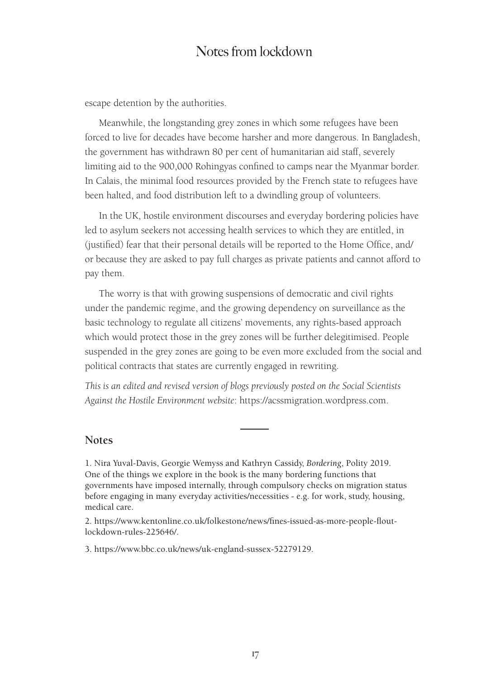escape detention by the authorities.

Meanwhile, the longstanding grey zones in which some refugees have been forced to live for decades have become harsher and more dangerous. In Bangladesh, the government has withdrawn 80 per cent of humanitarian aid staff, severely limiting aid to the 900,000 Rohingyas confined to camps near the Myanmar border. In Calais, the minimal food resources provided by the French state to refugees have been halted, and food distribution left to a dwindling group of volunteers.

In the UK, hostile environment discourses and everyday bordering policies have led to asylum seekers not accessing health services to which they are entitled, in (justified) fear that their personal details will be reported to the Home Office, and/ or because they are asked to pay full charges as private patients and cannot afford to pay them.

The worry is that with growing suspensions of democratic and civil rights under the pandemic regime, and the growing dependency on surveillance as the basic technology to regulate all citizens' movements, any rights-based approach which would protect those in the grey zones will be further delegitimised. People suspended in the grey zones are going to be even more excluded from the social and political contracts that states are currently engaged in rewriting.

*This is an edited and revised version of blogs previously posted on the Social Scientists Against the Hostile Environment website*: https://acssmigration.wordpress.com.

#### **Notes**

1. Nira Yuval-Davis, Georgie Wemyss and Kathryn Cassidy, *Bordering*, Polity 2019. One of the things we explore in the book is the many bordering functions that governments have imposed internally, through compulsory checks on migration status before engaging in many everyday activities/necessities - e.g. for work, study, housing, medical care.

2. https://www.kentonline.co.uk/folkestone/news/fines-issued-as-more-people-floutlockdown-rules-225646/.

3. https://www.bbc.co.uk/news/uk-england-sussex-52279129.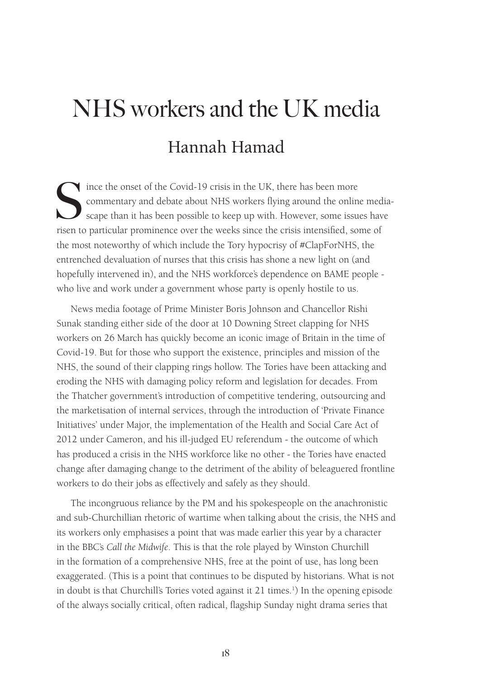# NHS workers and the UK media Hannah Hamad

Since the onset of the Covid-19 crisis in the UK, there has been more commentary and debate about NHS workers flying around the online scape than it has been possible to keep up with. However, some issue risen to particula commentary and debate about NHS workers flying around the online mediascape than it has been possible to keep up with. However, some issues have risen to particular prominence over the weeks since the crisis intensified, some of the most noteworthy of which include the Tory hypocrisy of #ClapForNHS, the entrenched devaluation of nurses that this crisis has shone a new light on (and hopefully intervened in), and the NHS workforce's dependence on BAME people who live and work under a government whose party is openly hostile to us.

News media footage of Prime Minister Boris Johnson and Chancellor Rishi Sunak standing either side of the door at 10 Downing Street clapping for NHS workers on 26 March has quickly become an iconic image of Britain in the time of Covid-19. But for those who support the existence, principles and mission of the NHS, the sound of their clapping rings hollow. The Tories have been attacking and eroding the NHS with damaging policy reform and legislation for decades. From the Thatcher government's introduction of competitive tendering, outsourcing and the marketisation of internal services, through the introduction of 'Private Finance Initiatives' under Major, the implementation of the Health and Social Care Act of 2012 under Cameron, and his ill-judged EU referendum - the outcome of which has produced a crisis in the NHS workforce like no other - the Tories have enacted change after damaging change to the detriment of the ability of beleaguered frontline workers to do their jobs as effectively and safely as they should.

The incongruous reliance by the PM and his spokespeople on the anachronistic and sub-Churchillian rhetoric of wartime when talking about the crisis, the NHS and its workers only emphasises a point that was made earlier this year by a character in the BBC's *Call the Midwife*. This is that the role played by Winston Churchill in the formation of a comprehensive NHS, free at the point of use, has long been exaggerated. (This is a point that continues to be disputed by historians. What is not in doubt is that Churchill's Tories voted against it 21 times.<sup>1</sup>) In the opening episode of the always socially critical, often radical, flagship Sunday night drama series that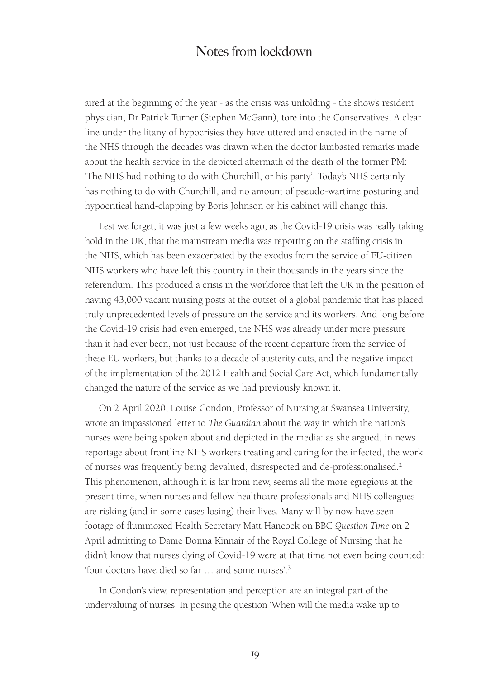aired at the beginning of the year - as the crisis was unfolding - the show's resident physician, Dr Patrick Turner (Stephen McGann), tore into the Conservatives. A clear line under the litany of hypocrisies they have uttered and enacted in the name of the NHS through the decades was drawn when the doctor lambasted remarks made about the health service in the depicted aftermath of the death of the former PM: 'The NHS had nothing to do with Churchill, or his party'. Today's NHS certainly has nothing to do with Churchill, and no amount of pseudo-wartime posturing and hypocritical hand-clapping by Boris Johnson or his cabinet will change this.

Lest we forget, it was just a few weeks ago, as the Covid-19 crisis was really taking hold in the UK, that the mainstream media was reporting on the staffing crisis in the NHS, which has been exacerbated by the exodus from the service of EU-citizen NHS workers who have left this country in their thousands in the years since the referendum. This produced a crisis in the workforce that left the UK in the position of having 43,000 vacant nursing posts at the outset of a global pandemic that has placed truly unprecedented levels of pressure on the service and its workers. And long before the Covid-19 crisis had even emerged, the NHS was already under more pressure than it had ever been, not just because of the recent departure from the service of these EU workers, but thanks to a decade of austerity cuts, and the negative impact of the implementation of the 2012 Health and Social Care Act, which fundamentally changed the nature of the service as we had previously known it.

On 2 April 2020, Louise Condon, Professor of Nursing at Swansea University, wrote an impassioned letter to *The Guardian* about the way in which the nation's nurses were being spoken about and depicted in the media: as she argued, in news reportage about frontline NHS workers treating and caring for the infected, the work of nurses was frequently being devalued, disrespected and de-professionalised.<sup>2</sup> This phenomenon, although it is far from new, seems all the more egregious at the present time, when nurses and fellow healthcare professionals and NHS colleagues are risking (and in some cases losing) their lives. Many will by now have seen footage of flummoxed Health Secretary Matt Hancock on BBC *Question Time* on 2 April admitting to Dame Donna Kinnair of the Royal College of Nursing that he didn't know that nurses dying of Covid-19 were at that time not even being counted: 'four doctors have died so far … and some nurses'.3

In Condon's view, representation and perception are an integral part of the undervaluing of nurses. In posing the question 'When will the media wake up to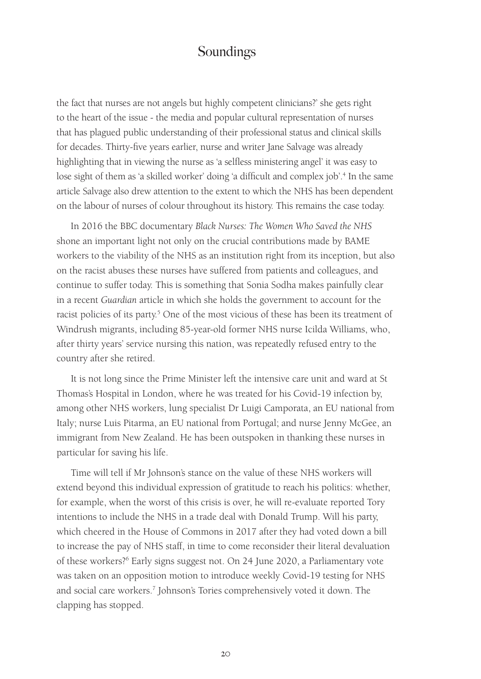the fact that nurses are not angels but highly competent clinicians?' she gets right to the heart of the issue - the media and popular cultural representation of nurses that has plagued public understanding of their professional status and clinical skills for decades. Thirty-five years earlier, nurse and writer Jane Salvage was already highlighting that in viewing the nurse as 'a selfless ministering angel' it was easy to lose sight of them as 'a skilled worker' doing 'a difficult and complex job'.<sup>4</sup> In the same article Salvage also drew attention to the extent to which the NHS has been dependent on the labour of nurses of colour throughout its history. This remains the case today.

In 2016 the BBC documentary *Black Nurses: The Women Who Saved the NHS*  shone an important light not only on the crucial contributions made by BAME workers to the viability of the NHS as an institution right from its inception, but also on the racist abuses these nurses have suffered from patients and colleagues, and continue to suffer today. This is something that Sonia Sodha makes painfully clear in a recent *Guardian* article in which she holds the government to account for the racist policies of its party.<sup>5</sup> One of the most vicious of these has been its treatment of Windrush migrants, including 85-year-old former NHS nurse Icilda Williams, who, after thirty years' service nursing this nation, was repeatedly refused entry to the country after she retired.

It is not long since the Prime Minister left the intensive care unit and ward at St Thomas's Hospital in London, where he was treated for his Covid-19 infection by, among other NHS workers, lung specialist Dr Luigi Camporata, an EU national from Italy; nurse Luis Pitarma, an EU national from Portugal; and nurse Jenny McGee, an immigrant from New Zealand. He has been outspoken in thanking these nurses in particular for saving his life.

Time will tell if Mr Johnson's stance on the value of these NHS workers will extend beyond this individual expression of gratitude to reach his politics: whether, for example, when the worst of this crisis is over, he will re-evaluate reported Tory intentions to include the NHS in a trade deal with Donald Trump. Will his party, which cheered in the House of Commons in 2017 after they had voted down a bill to increase the pay of NHS staff, in time to come reconsider their literal devaluation of these workers?6 Early signs suggest not. On 24 June 2020, a Parliamentary vote was taken on an opposition motion to introduce weekly Covid-19 testing for NHS and social care workers.<sup>7</sup> Johnson's Tories comprehensively voted it down. The clapping has stopped.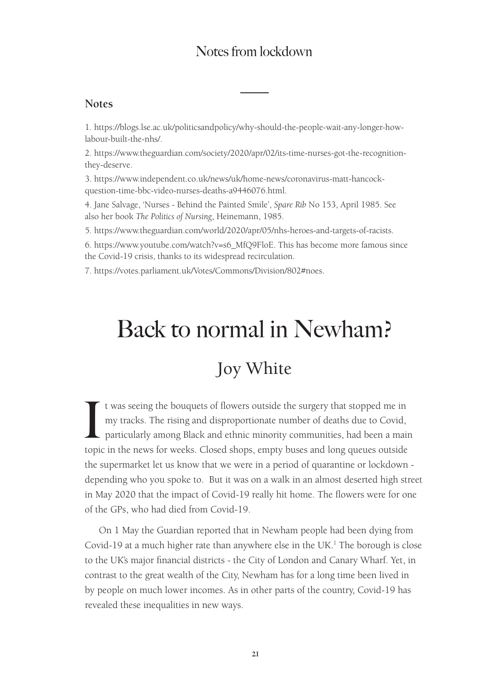#### **Notes**

1. https://blogs.lse.ac.uk/politicsandpolicy/why-should-the-people-wait-any-longer-howlabour-built-the-nhs/.

2. https://www.theguardian.com/society/2020/apr/02/its-time-nurses-got-the-recognitionthey-deserve.

3. https://www.independent.co.uk/news/uk/home-news/coronavirus-matt-hancockquestion-time-bbc-video-nurses-deaths-a9446076.html.

4. Jane Salvage, 'Nurses - Behind the Painted Smile', *Spare Rib* No 153, April 1985. See also her book *The Politics of Nursing*, Heinemann, 1985.

5. https://www.theguardian.com/world/2020/apr/05/nhs-heroes-and-targets-of-racists.

6. https://www.youtube.com/watch?v=s6\_MfQ9FloE. This has become more famous since the Covid-19 crisis, thanks to its widespread recirculation.

7. https://votes.parliament.uk/Votes/Commons/Division/802#noes.

# Back to normal in Newham?

# Joy White

It was seeing the bouquets of flowers outside the surgery that stopped me in my tracks. The rising and disproportionate number of deaths due to Covid, particularly among Black and ethnic minority communities, had been a ma t was seeing the bouquets of flowers outside the surgery that stopped me in my tracks. The rising and disproportionate number of deaths due to Covid, particularly among Black and ethnic minority communities, had been a main the supermarket let us know that we were in a period of quarantine or lockdown depending who you spoke to. But it was on a walk in an almost deserted high street in May 2020 that the impact of Covid-19 really hit home. The flowers were for one of the GPs, who had died from Covid-19.

On 1 May the Guardian reported that in Newham people had been dying from Covid-19 at a much higher rate than anywhere else in the UK.<sup>1</sup> The borough is close to the UK's major financial districts - the City of London and Canary Wharf. Yet, in contrast to the great wealth of the City, Newham has for a long time been lived in by people on much lower incomes. As in other parts of the country, Covid-19 has revealed these inequalities in new ways.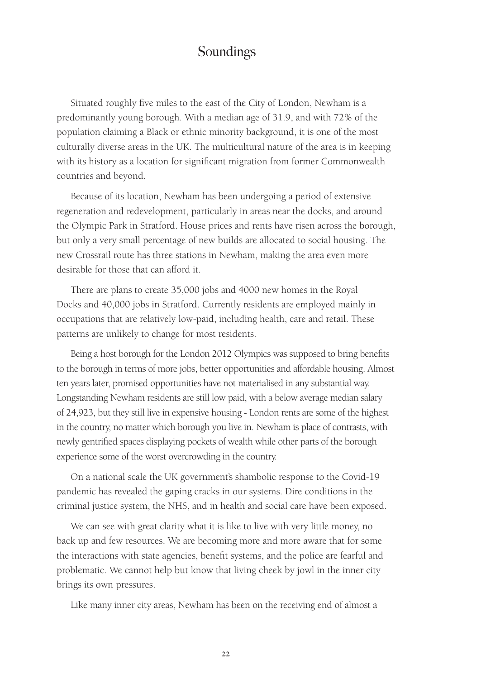Situated roughly five miles to the east of the City of London, Newham is a predominantly young borough. With a median age of 31.9, and with 72% of the population claiming a Black or ethnic minority background, it is one of the most culturally diverse areas in the UK. The multicultural nature of the area is in keeping with its history as a location for significant migration from former Commonwealth countries and beyond.

Because of its location, Newham has been undergoing a period of extensive regeneration and redevelopment, particularly in areas near the docks, and around the Olympic Park in Stratford. House prices and rents have risen across the borough, but only a very small percentage of new builds are allocated to social housing. The new Crossrail route has three stations in Newham, making the area even more desirable for those that can afford it.

There are plans to create 35,000 jobs and 4000 new homes in the Royal Docks and 40,000 jobs in Stratford. Currently residents are employed mainly in occupations that are relatively low-paid, including health, care and retail. These patterns are unlikely to change for most residents.

Being a host borough for the London 2012 Olympics was supposed to bring benefits to the borough in terms of more jobs, better opportunities and affordable housing. Almost ten years later, promised opportunities have not materialised in any substantial way. Longstanding Newham residents are still low paid, with a below average median salary of 24,923, but they still live in expensive housing - London rents are some of the highest in the country, no matter which borough you live in. Newham is place of contrasts, with newly gentrified spaces displaying pockets of wealth while other parts of the borough experience some of the worst overcrowding in the country.

On a national scale the UK government's shambolic response to the Covid-19 pandemic has revealed the gaping cracks in our systems. Dire conditions in the criminal justice system, the NHS, and in health and social care have been exposed.

We can see with great clarity what it is like to live with very little money, no back up and few resources. We are becoming more and more aware that for some the interactions with state agencies, benefit systems, and the police are fearful and problematic. We cannot help but know that living cheek by jowl in the inner city brings its own pressures.

Like many inner city areas, Newham has been on the receiving end of almost a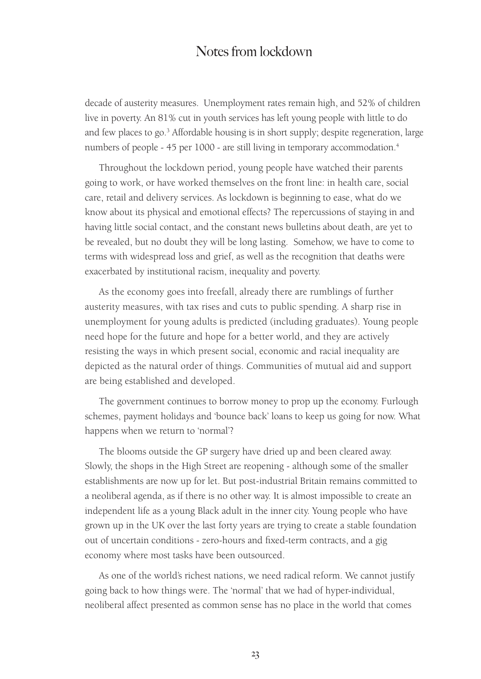decade of austerity measures. Unemployment rates remain high, and 52% of children live in poverty. An 81% cut in youth services has left young people with little to do and few places to go.<sup>3</sup> Affordable housing is in short supply; despite regeneration, large numbers of people - 45 per 1000 - are still living in temporary accommodation.<sup>4</sup>

Throughout the lockdown period, young people have watched their parents going to work, or have worked themselves on the front line: in health care, social care, retail and delivery services. As lockdown is beginning to ease, what do we know about its physical and emotional effects? The repercussions of staying in and having little social contact, and the constant news bulletins about death, are yet to be revealed, but no doubt they will be long lasting. Somehow, we have to come to terms with widespread loss and grief, as well as the recognition that deaths were exacerbated by institutional racism, inequality and poverty.

As the economy goes into freefall, already there are rumblings of further austerity measures, with tax rises and cuts to public spending. A sharp rise in unemployment for young adults is predicted (including graduates). Young people need hope for the future and hope for a better world, and they are actively resisting the ways in which present social, economic and racial inequality are depicted as the natural order of things. Communities of mutual aid and support are being established and developed.

The government continues to borrow money to prop up the economy. Furlough schemes, payment holidays and 'bounce back' loans to keep us going for now. What happens when we return to 'normal'?

The blooms outside the GP surgery have dried up and been cleared away. Slowly, the shops in the High Street are reopening - although some of the smaller establishments are now up for let. But post-industrial Britain remains committed to a neoliberal agenda, as if there is no other way. It is almost impossible to create an independent life as a young Black adult in the inner city. Young people who have grown up in the UK over the last forty years are trying to create a stable foundation out of uncertain conditions - zero-hours and fixed-term contracts, and a gig economy where most tasks have been outsourced.

As one of the world's richest nations, we need radical reform. We cannot justify going back to how things were. The 'normal' that we had of hyper-individual, neoliberal affect presented as common sense has no place in the world that comes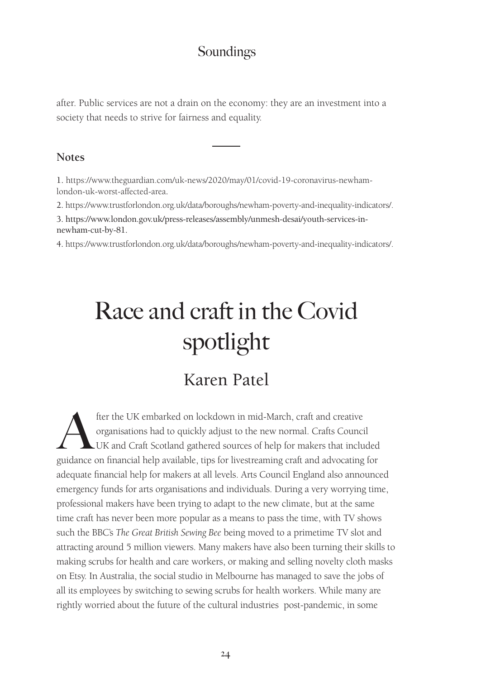after. Public services are not a drain on the economy: they are an investment into a society that needs to strive for fairness and equality.

#### **Notes**

1. https://www.theguardian.com/uk-news/2020/may/01/covid-19-coronavirus-newhamlondon-uk-worst-affected-area.

2. https://www.trustforlondon.org.uk/data/boroughs/newham-poverty-and-inequality-indicators/.

3. https://www.london.gov.uk/press-releases/assembly/unmesh-desai/youth-services-innewham-cut-by-81.

4. https://www.trustforlondon.org.uk/data/boroughs/newham-poverty-and-inequality-indicators/.

# Race and craft in the Covid spotlight

# Karen Patel

fter the UK embarked on lockdown in mid-March, craft and creative<br>organisations had to quickly adjust to the new normal. Crafts Counci<br>UK and Craft Scotland gathered sources of help for makers that inclu<br>midance on financi organisations had to quickly adjust to the new normal. Crafts Council UK and Craft Scotland gathered sources of help for makers that included guidance on financial help available, tips for livestreaming craft and advocating for adequate financial help for makers at all levels. Arts Council England also announced emergency funds for arts organisations and individuals. During a very worrying time, professional makers have been trying to adapt to the new climate, but at the same time craft has never been more popular as a means to pass the time, with TV shows such the BBC's *The Great British Sewing Bee* being moved to a primetime TV slot and attracting around 5 million viewers. Many makers have also been turning their skills to making scrubs for health and care workers, or making and selling novelty cloth masks on Etsy. In Australia, the social studio in Melbourne has managed to save the jobs of all its employees by switching to sewing scrubs for health workers. While many are rightly worried about the future of the cultural industries post-pandemic, in some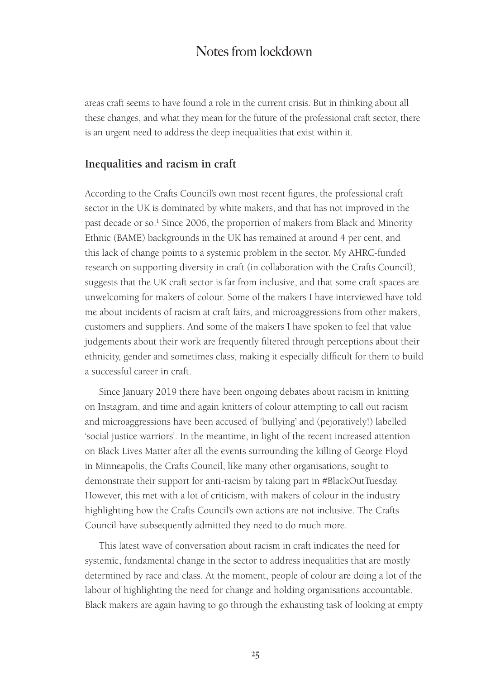areas craft seems to have found a role in the current crisis. But in thinking about all these changes, and what they mean for the future of the professional craft sector, there is an urgent need to address the deep inequalities that exist within it.

#### **Inequalities and racism in craft**

According to the Crafts Council's own most recent figures, the professional craft sector in the UK is dominated by white makers, and that has not improved in the past decade or so.<sup>1</sup> Since 2006, the proportion of makers from Black and Minority Ethnic (BAME) backgrounds in the UK has remained at around 4 per cent, and this lack of change points to a systemic problem in the sector. My AHRC-funded research on supporting diversity in craft (in collaboration with the Crafts Council), suggests that the UK craft sector is far from inclusive, and that some craft spaces are unwelcoming for makers of colour. Some of the makers I have interviewed have told me about incidents of racism at craft fairs, and microaggressions from other makers, customers and suppliers. And some of the makers I have spoken to feel that value judgements about their work are frequently filtered through perceptions about their ethnicity, gender and sometimes class, making it especially difficult for them to build a successful career in craft.

Since January 2019 there have been ongoing debates about racism in knitting on Instagram, and time and again knitters of colour attempting to call out racism and microaggressions have been accused of 'bullying' and (pejoratively!) labelled 'social justice warriors'. In the meantime, in light of the recent increased attention on Black Lives Matter after all the events surrounding the killing of George Floyd in Minneapolis, the Crafts Council, like many other organisations, sought to demonstrate their support for anti-racism by taking part in #BlackOutTuesday. However, this met with a lot of criticism, with makers of colour in the industry highlighting how the Crafts Council's own actions are not inclusive. The Crafts Council have subsequently admitted they need to do much more.

This latest wave of conversation about racism in craft indicates the need for systemic, fundamental change in the sector to address inequalities that are mostly determined by race and class. At the moment, people of colour are doing a lot of the labour of highlighting the need for change and holding organisations accountable. Black makers are again having to go through the exhausting task of looking at empty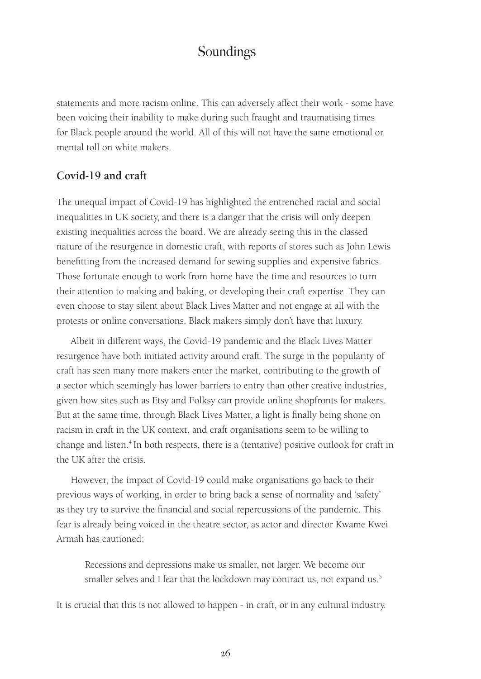statements and more racism online. This can adversely affect their work - some have been voicing their inability to make during such fraught and traumatising times for Black people around the world. All of this will not have the same emotional or mental toll on white makers.

#### **Covid-19 and craft**

The unequal impact of Covid-19 has highlighted the entrenched racial and social inequalities in UK society, and there is a danger that the crisis will only deepen existing inequalities across the board. We are already seeing this in the classed nature of the resurgence in domestic craft, with reports of stores such as John Lewis benefitting from the increased demand for sewing supplies and expensive fabrics. Those fortunate enough to work from home have the time and resources to turn their attention to making and baking, or developing their craft expertise. They can even choose to stay silent about Black Lives Matter and not engage at all with the protests or online conversations. Black makers simply don't have that luxury.

Albeit in different ways, the Covid-19 pandemic and the Black Lives Matter resurgence have both initiated activity around craft. The surge in the popularity of craft has seen many more makers enter the market, contributing to the growth of a sector which seemingly has lower barriers to entry than other creative industries, given how sites such as Etsy and Folksy can provide online shopfronts for makers. But at the same time, through Black Lives Matter, a light is finally being shone on racism in craft in the UK context, and craft organisations seem to be willing to change and listen.<sup>4</sup> In both respects, there is a (tentative) positive outlook for craft in the UK after the crisis.

However, the impact of Covid-19 could make organisations go back to their previous ways of working, in order to bring back a sense of normality and 'safety' as they try to survive the financial and social repercussions of the pandemic. This fear is already being voiced in the theatre sector, as actor and director Kwame Kwei Armah has cautioned:

Recessions and depressions make us smaller, not larger. We become our smaller selves and I fear that the lockdown may contract us, not expand us.<sup>5</sup>

It is crucial that this is not allowed to happen - in craft, or in any cultural industry.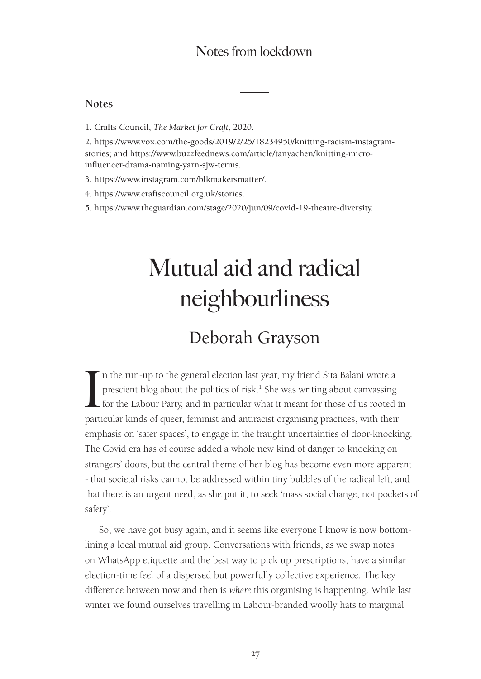#### **Notes**

1. Crafts Council, *The Market for Craft*, 2020.

2. https://www.vox.com/the-goods/2019/2/25/18234950/knitting-racism-instagramstories; and https://www.buzzfeednews.com/article/tanyachen/knitting-microinfluencer-drama-naming-yarn-sjw-terms.

- 3. https://www.instagram.com/blkmakersmatter/.
- 4. https://www.craftscouncil.org.uk/stories.
- 5. https://www.theguardian.com/stage/2020/jun/09/covid-19-theatre-diversity.

# Mutual aid and radical neighbourliness

# Deborah Grayson

In the run-up to the general election last year, my friend Sita Balani wrote a prescient blog about the politics of risk.<sup>1</sup> She was writing about canvassing for the Labour Party, and in particular what it meant for those n the run-up to the general election last year, my friend Sita Balani wrote a prescient blog about the politics of risk.<sup>1</sup> She was writing about canvassing for the Labour Party, and in particular what it meant for those of us rooted in emphasis on 'safer spaces', to engage in the fraught uncertainties of door-knocking. The Covid era has of course added a whole new kind of danger to knocking on strangers' doors, but the central theme of her blog has become even more apparent - that societal risks cannot be addressed within tiny bubbles of the radical left, and that there is an urgent need, as she put it, to seek 'mass social change, not pockets of safety'.

So, we have got busy again, and it seems like everyone I know is now bottomlining a local mutual aid group. Conversations with friends, as we swap notes on WhatsApp etiquette and the best way to pick up prescriptions, have a similar election-time feel of a dispersed but powerfully collective experience. The key difference between now and then is *where* this organising is happening. While last winter we found ourselves travelling in Labour-branded woolly hats to marginal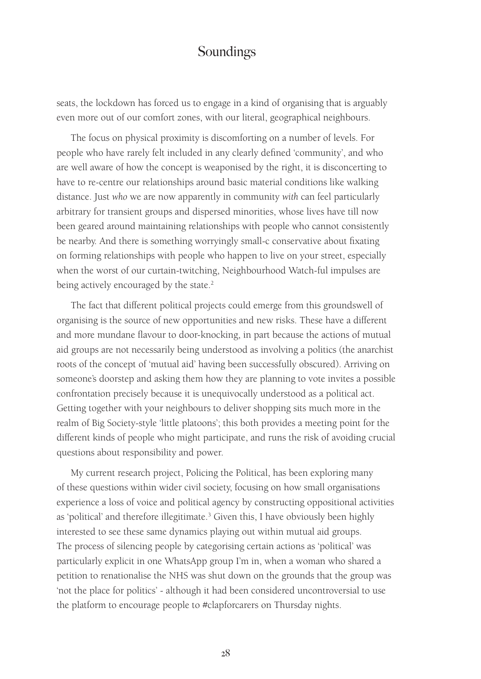seats, the lockdown has forced us to engage in a kind of organising that is arguably even more out of our comfort zones, with our literal, geographical neighbours.

The focus on physical proximity is discomforting on a number of levels. For people who have rarely felt included in any clearly defined 'community', and who are well aware of how the concept is weaponised by the right, it is disconcerting to have to re-centre our relationships around basic material conditions like walking distance. Just *who* we are now apparently in community *with* can feel particularly arbitrary for transient groups and dispersed minorities, whose lives have till now been geared around maintaining relationships with people who cannot consistently be nearby. And there is something worryingly small-c conservative about fixating on forming relationships with people who happen to live on your street, especially when the worst of our curtain-twitching, Neighbourhood Watch-ful impulses are being actively encouraged by the state.<sup>2</sup>

The fact that different political projects could emerge from this groundswell of organising is the source of new opportunities and new risks. These have a different and more mundane flavour to door-knocking, in part because the actions of mutual aid groups are not necessarily being understood as involving a politics (the anarchist roots of the concept of 'mutual aid' having been successfully obscured). Arriving on someone's doorstep and asking them how they are planning to vote invites a possible confrontation precisely because it is unequivocally understood as a political act. Getting together with your neighbours to deliver shopping sits much more in the realm of Big Society-style 'little platoons'; this both provides a meeting point for the different kinds of people who might participate, and runs the risk of avoiding crucial questions about responsibility and power.

My current research project, Policing the Political, has been exploring many of these questions within wider civil society, focusing on how small organisations experience a loss of voice and political agency by constructing oppositional activities as 'political' and therefore illegitimate.<sup>3</sup> Given this, I have obviously been highly interested to see these same dynamics playing out within mutual aid groups. The process of silencing people by categorising certain actions as 'political' was particularly explicit in one WhatsApp group I'm in, when a woman who shared a petition to renationalise the NHS was shut down on the grounds that the group was 'not the place for politics' - although it had been considered uncontroversial to use the platform to encourage people to #clapforcarers on Thursday nights.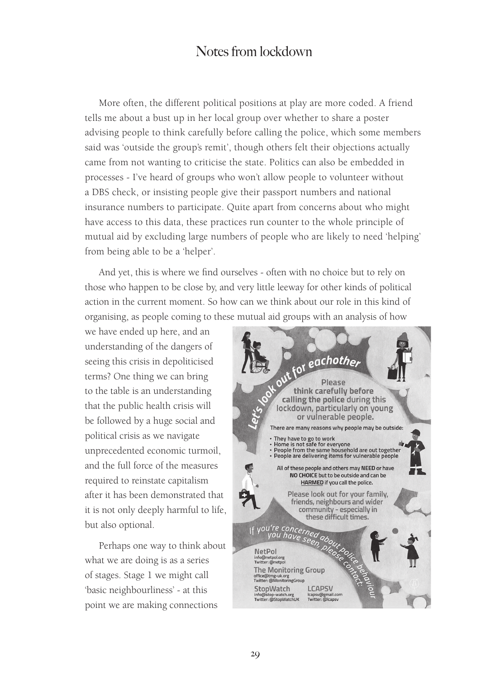More often, the different political positions at play are more coded. A friend tells me about a bust up in her local group over whether to share a poster advising people to think carefully before calling the police, which some members said was 'outside the group's remit', though others felt their objections actually came from not wanting to criticise the state. Politics can also be embedded in processes - I've heard of groups who won't allow people to volunteer without a DBS check, or insisting people give their passport numbers and national insurance numbers to participate. Quite apart from concerns about who might have access to this data, these practices run counter to the whole principle of mutual aid by excluding large numbers of people who are likely to need 'helping' from being able to be a 'helper'.

And yet, this is where we find ourselves - often with no choice but to rely on those who happen to be close by, and very little leeway for other kinds of political action in the current moment. So how can we think about our role in this kind of organising, as people coming to these mutual aid groups with an analysis of how

we have ended up here, and an understanding of the dangers of seeing this crisis in depoliticised terms? One thing we can bring to the table is an understanding that the public health crisis will be followed by a huge social and political crisis as we navigate unprecedented economic turmoil, and the full force of the measures required to reinstate capitalism after it has been demonstrated that it is not only deeply harmful to life, but also optional.

Perhaps one way to think about what we are doing is as a series of stages. Stage 1 we might call 'basic neighbourliness' - at this point we are making connections

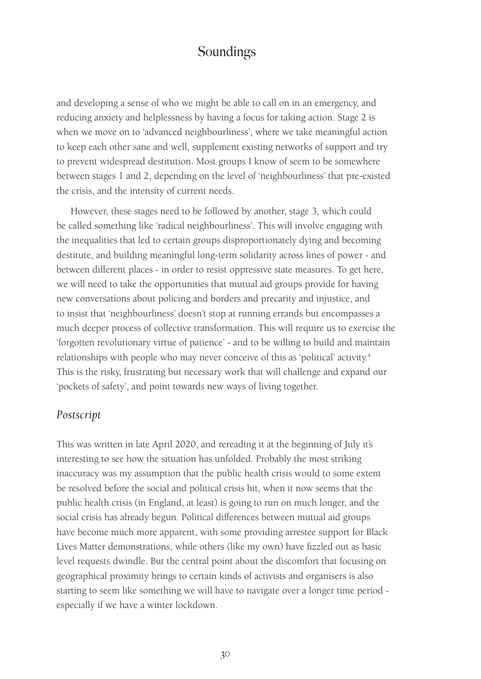and developing a sense of who we might be able to call on in an emergency, and reducing anxiety and helplessness by having a focus for taking action. Stage 2 is when we move on to 'advanced neighbourliness', where we take meaningful action to keep each other sane and well, supplement existing networks of support and try to prevent widespread destitution. Most groups I know of seem to be somewhere between stages 1 and 2, depending on the level of 'neighbourliness' that pre-existed the crisis, and the intensity of current needs.

However, these stages need to be followed by another, stage 3, which could be called something like 'radical neighbourliness'. This will involve engaging with the inequalities that led to certain groups disproportionately dying and becoming destitute, and building meaningful long-term solidarity across lines of power - and between different places - in order to resist oppressive state measures. To get here, we will need to take the opportunities that mutual aid groups provide for having new conversations about policing and borders and precarity and injustice, and to insist that 'neighbourliness' doesn't stop at running errands but encompasses a much deeper process of collective transformation. This will require us to exercise the 'forgotten revolutionary virtue of patience' - and to be willing to build and maintain relationships with people who may never conceive of this as 'political' activity.4 This is the risky, frustrating but necessary work that will challenge and expand our 'pockets of safety', and point towards new ways of living together.

#### *Postscript*

This was written in late April 2020, and rereading it at the beginning of July it's interesting to see how the situation has unfolded. Probably the most striking inaccuracy was my assumption that the public health crisis would to some extent be resolved before the social and political crisis hit, when it now seems that the public health crisis (in England, at least) is going to run on much longer, and the social crisis has already begun. Political differences between mutual aid groups have become much more apparent, with some providing arrestee support for Black Lives Matter demonstrations, while others (like my own) have fizzled out as basic level requests dwindle. But the central point about the discomfort that focusing on geographical proximity brings to certain kinds of activists and organisers is also starting to seem like something we will have to navigate over a longer time period especially if we have a winter lockdown.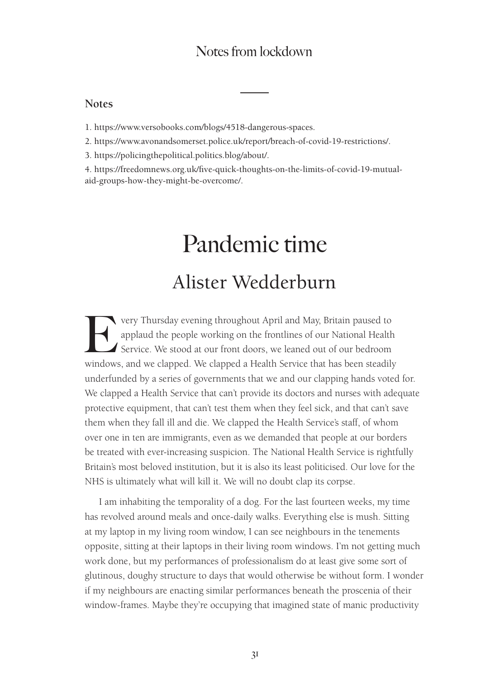#### **Notes**

1. https://www.versobooks.com/blogs/4518-dangerous-spaces.

2. https://www.avonandsomerset.police.uk/report/breach-of-covid-19-restrictions/.

3. https://policingthepolitical.politics.blog/about/.

4. https://freedomnews.org.uk/five-quick-thoughts-on-the-limits-of-covid-19-mutualaid-groups-how-they-might-be-overcome/.

# Pandemic time Alister Wedderburn

very Thursday evening throughout April and May, Britain paused to<br>applaud the people working on the frontlines of our National Health<br>Service. We stood at our front doors, we leaned out of our bedroom<br>windows and we clanne applaud the people working on the frontlines of our National Health Service. We stood at our front doors, we leaned out of our bedroom windows, and we clapped. We clapped a Health Service that has been steadily underfunded by a series of governments that we and our clapping hands voted for. We clapped a Health Service that can't provide its doctors and nurses with adequate protective equipment, that can't test them when they feel sick, and that can't save them when they fall ill and die. We clapped the Health Service's staff, of whom over one in ten are immigrants, even as we demanded that people at our borders be treated with ever-increasing suspicion. The National Health Service is rightfully Britain's most beloved institution, but it is also its least politicised. Our love for the NHS is ultimately what will kill it. We will no doubt clap its corpse.

I am inhabiting the temporality of a dog. For the last fourteen weeks, my time has revolved around meals and once-daily walks. Everything else is mush. Sitting at my laptop in my living room window, I can see neighbours in the tenements opposite, sitting at their laptops in their living room windows. I'm not getting much work done, but my performances of professionalism do at least give some sort of glutinous, doughy structure to days that would otherwise be without form. I wonder if my neighbours are enacting similar performances beneath the proscenia of their window-frames. Maybe they're occupying that imagined state of manic productivity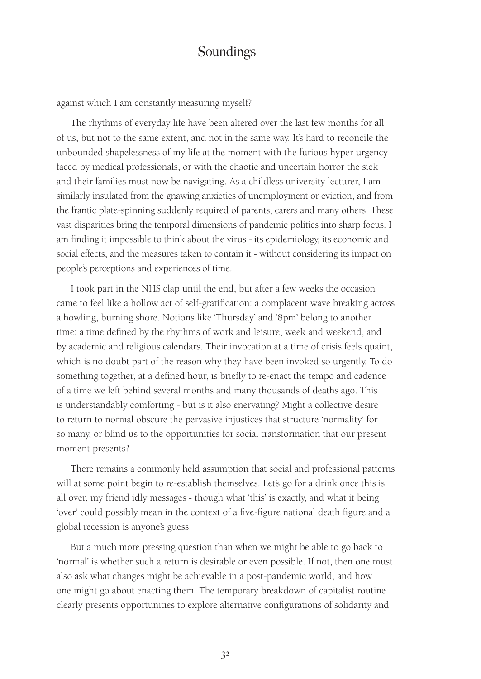against which I am constantly measuring myself?

The rhythms of everyday life have been altered over the last few months for all of us, but not to the same extent, and not in the same way. It's hard to reconcile the unbounded shapelessness of my life at the moment with the furious hyper-urgency faced by medical professionals, or with the chaotic and uncertain horror the sick and their families must now be navigating. As a childless university lecturer, I am similarly insulated from the gnawing anxieties of unemployment or eviction, and from the frantic plate-spinning suddenly required of parents, carers and many others. These vast disparities bring the temporal dimensions of pandemic politics into sharp focus. I am finding it impossible to think about the virus - its epidemiology, its economic and social effects, and the measures taken to contain it - without considering its impact on people's perceptions and experiences of time.

I took part in the NHS clap until the end, but after a few weeks the occasion came to feel like a hollow act of self-gratification: a complacent wave breaking across a howling, burning shore. Notions like 'Thursday' and '8pm' belong to another time: a time defined by the rhythms of work and leisure, week and weekend, and by academic and religious calendars. Their invocation at a time of crisis feels quaint, which is no doubt part of the reason why they have been invoked so urgently. To do something together, at a defined hour, is briefly to re-enact the tempo and cadence of a time we left behind several months and many thousands of deaths ago. This is understandably comforting - but is it also enervating? Might a collective desire to return to normal obscure the pervasive injustices that structure 'normality' for so many, or blind us to the opportunities for social transformation that our present moment presents?

There remains a commonly held assumption that social and professional patterns will at some point begin to re-establish themselves. Let's go for a drink once this is all over, my friend idly messages - though what 'this' is exactly, and what it being 'over' could possibly mean in the context of a five-figure national death figure and a global recession is anyone's guess.

But a much more pressing question than when we might be able to go back to 'normal' is whether such a return is desirable or even possible. If not, then one must also ask what changes might be achievable in a post-pandemic world, and how one might go about enacting them. The temporary breakdown of capitalist routine clearly presents opportunities to explore alternative configurations of solidarity and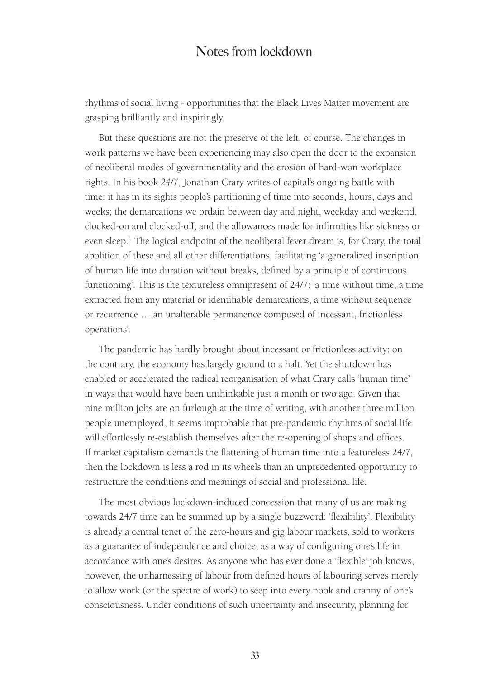rhythms of social living - opportunities that the Black Lives Matter movement are grasping brilliantly and inspiringly.

But these questions are not the preserve of the left, of course. The changes in work patterns we have been experiencing may also open the door to the expansion of neoliberal modes of governmentality and the erosion of hard-won workplace rights. In his book *24/7*, Jonathan Crary writes of capital's ongoing battle with time: it has in its sights people's partitioning of time into seconds, hours, days and weeks; the demarcations we ordain between day and night, weekday and weekend, clocked-on and clocked-off; and the allowances made for infirmities like sickness or even sleep.<sup>1</sup> The logical endpoint of the neoliberal fever dream is, for Crary, the total abolition of these and all other differentiations, facilitating 'a generalized inscription of human life into duration without breaks, defined by a principle of continuous functioning'. This is the textureless omnipresent of 24/7: 'a time without time, a time extracted from any material or identifiable demarcations, a time without sequence or recurrence … an unalterable permanence composed of incessant, frictionless operations'.

The pandemic has hardly brought about incessant or frictionless activity: on the contrary, the economy has largely ground to a halt. Yet the shutdown has enabled or accelerated the radical reorganisation of what Crary calls 'human time' in ways that would have been unthinkable just a month or two ago. Given that nine million jobs are on furlough at the time of writing, with another three million people unemployed, it seems improbable that pre-pandemic rhythms of social life will effortlessly re-establish themselves after the re-opening of shops and offices. If market capitalism demands the flattening of human time into a featureless 24/7, then the lockdown is less a rod in its wheels than an unprecedented opportunity to restructure the conditions and meanings of social and professional life.

The most obvious lockdown-induced concession that many of us are making towards 24/7 time can be summed up by a single buzzword: 'flexibility'. Flexibility is already a central tenet of the zero-hours and gig labour markets, sold to workers as a guarantee of independence and choice; as a way of configuring one's life in accordance with one's desires. As anyone who has ever done a 'flexible' job knows, however, the unharnessing of labour from defined hours of labouring serves merely to allow work (or the spectre of work) to seep into every nook and cranny of one's consciousness. Under conditions of such uncertainty and insecurity, planning for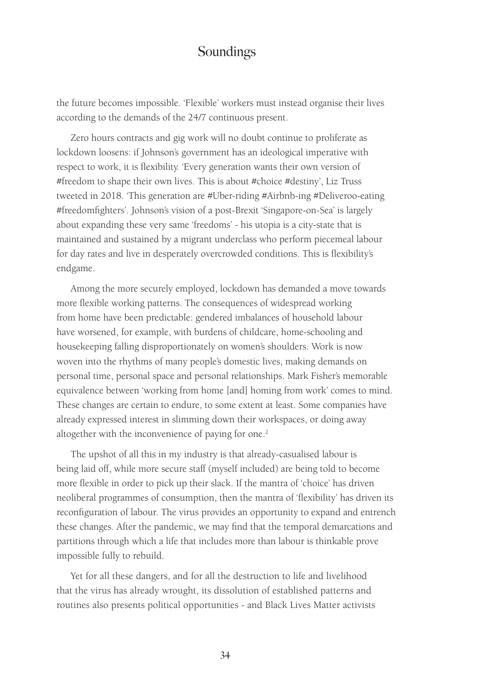the future becomes impossible. 'Flexible' workers must instead organise their lives according to the demands of the 24/7 continuous present.

Zero hours contracts and gig work will no doubt continue to proliferate as lockdown loosens: if Johnson's government has an ideological imperative with respect to work, it is flexibility. 'Every generation wants their own version of #freedom to shape their own lives. This is about #choice #destiny', Liz Truss tweeted in 2018. 'This generation are #Uber-riding #Airbnb-ing #Deliveroo-eating #freedomfighters'. Johnson's vision of a post-Brexit 'Singapore-on-Sea' is largely about expanding these very same 'freedoms' - his utopia is a city-state that is maintained and sustained by a migrant underclass who perform piecemeal labour for day rates and live in desperately overcrowded conditions. This is flexibility's endgame.

Among the more securely employed, lockdown has demanded a move towards more flexible working patterns. The consequences of widespread working from home have been predictable: gendered imbalances of household labour have worsened, for example, with burdens of childcare, home-schooling and housekeeping falling disproportionately on women's shoulders. Work is now woven into the rhythms of many people's domestic lives, making demands on personal time, personal space and personal relationships. Mark Fisher's memorable equivalence between 'working from home [and] homing from work' comes to mind. These changes are certain to endure, to some extent at least. Some companies have already expressed interest in slimming down their workspaces, or doing away altogether with the inconvenience of paying for one.<sup>2</sup>

The upshot of all this in my industry is that already-casualised labour is being laid off, while more secure staff (myself included) are being told to become more flexible in order to pick up their slack. If the mantra of 'choice' has driven neoliberal programmes of consumption, then the mantra of 'flexibility' has driven its reconfiguration of labour. The virus provides an opportunity to expand and entrench these changes. After the pandemic, we may find that the temporal demarcations and partitions through which a life that includes more than labour is thinkable prove impossible fully to rebuild.

Yet for all these dangers, and for all the destruction to life and livelihood that the virus has already wrought, its dissolution of established patterns and routines also presents political opportunities - and Black Lives Matter activists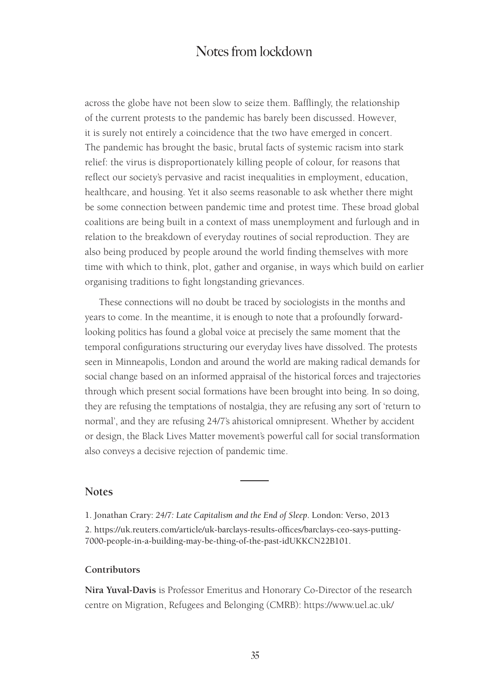across the globe have not been slow to seize them. Bafflingly, the relationship of the current protests to the pandemic has barely been discussed. However, it is surely not entirely a coincidence that the two have emerged in concert. The pandemic has brought the basic, brutal facts of systemic racism into stark relief: the virus is disproportionately killing people of colour, for reasons that reflect our society's pervasive and racist inequalities in employment, education, healthcare, and housing. Yet it also seems reasonable to ask whether there might be some connection between pandemic time and protest time. These broad global coalitions are being built in a context of mass unemployment and furlough and in relation to the breakdown of everyday routines of social reproduction. They are also being produced by people around the world finding themselves with more time with which to think, plot, gather and organise, in ways which build on earlier organising traditions to fight longstanding grievances.

These connections will no doubt be traced by sociologists in the months and years to come. In the meantime, it is enough to note that a profoundly forwardlooking politics has found a global voice at precisely the same moment that the temporal configurations structuring our everyday lives have dissolved. The protests seen in Minneapolis, London and around the world are making radical demands for social change based on an informed appraisal of the historical forces and trajectories through which present social formations have been brought into being. In so doing, they are refusing the temptations of nostalgia, they are refusing any sort of 'return to normal', and they are refusing 24/7's ahistorical omnipresent. Whether by accident or design, the Black Lives Matter movement's powerful call for social transformation also conveys a decisive rejection of pandemic time.

#### **Notes**

1. Jonathan Crary: *24/7: Late Capitalism and the End of Sleep*. London: Verso, 2013 2. https://uk.reuters.com/article/uk-barclays-results-offices/barclays-ceo-says-putting-7000-people-in-a-building-may-be-thing-of-the-past-idUKKCN22B101.

#### **Contributors**

**Nira Yuval-Davis** is Professor Emeritus and Honorary Co-Director of the research centre on Migration, Refugees and Belonging (CMRB): https://www.uel.ac.uk/